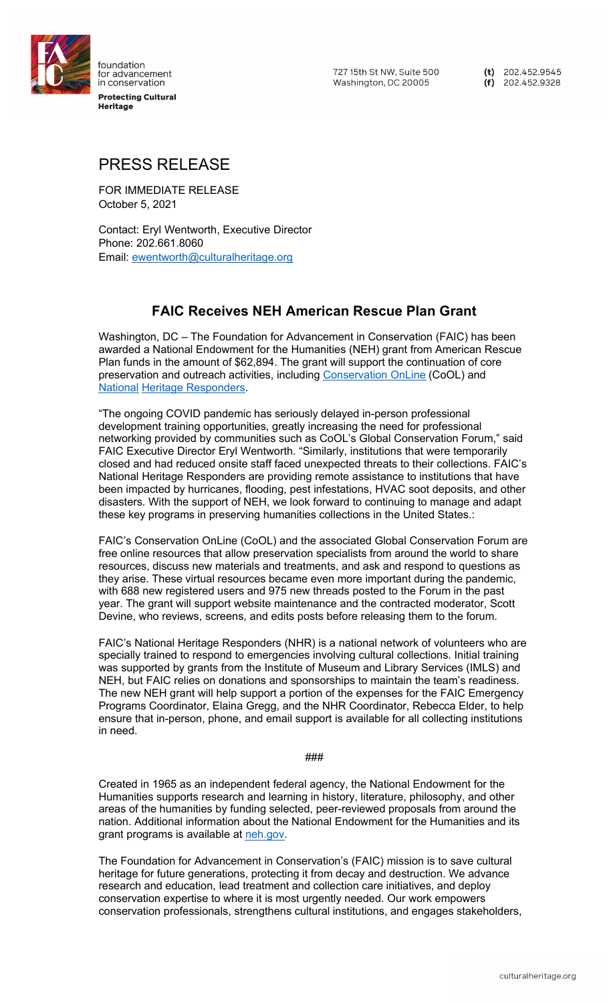

foundation for advancement in conservation **Protecting Cultural** .........<br>Heritage

727 15th St NW. Suite 500 Washington, DC 20005

(t)  $202.452.9545$  $(f)$  202.452.9328

## PRESS RELEASE

FOR IMMEDIATE RELEASE October 5, 2021

Contact: Eryl Wentworth, Executive Director Phone: 202.661.8060 Email: ewentworth@culturalheritage.org

## **FAIC Receives NEH American Rescue Plan Grant**

Washington, DC – The Foundation for Advancement in Conservation (FAIC) has been awarded a National Endowment for the Humanities (NEH) grant from American Rescue Plan funds in the amount of \$62,894. The grant will support the continuation of core preservation and outreach activities, including [Conservation](https://cool.culturalheritage.org/) OnLine (CoOL) and National Heritage [Responders](https://www.culturalheritage.org/resources/emergencies/national-heritage-responders).

"The ongoing COVID pandemic has seriously delayed in-person professional development training opportunities, greatly increasing the need for professional networking provided by communities such as CoOL's Global Conservation Forum," said FAIC Executive Director Eryl Wentworth. "Similarly, institutions that were temporarily closed and had reduced onsite staff faced unexpected threats to their collections. FAIC's National Heritage Responders are providing remote assistance to institutions that have been impacted by hurricanes, flooding, pest infestations, HVAC soot deposits, and other disasters. With the support of NEH, we look forward to continuing to manage and adapt these key programs in preserving humanities collections in the United States.:

FAIC's Conservation OnLine (CoOL) and the associated Global Conservation Forum are free online resources that allow preservation specialists from around the world to share resources, discuss new materials and treatments, and ask and respond to questions as they arise. These virtual resources became even more important during the pandemic, with 688 new registered users and 975 new threads posted to the Forum in the past year. The grant will support website maintenance and the contracted moderator, Scott Devine, who reviews, screens, and edits posts before releasing them to the forum.

FAIC's National Heritage Responders (NHR) is a national network of volunteers who are specially trained to respond to emergencies involving cultural collections. Initial training was supported by grants from the Institute of Museum and Library Services (IMLS) and NEH, but FAIC relies on donations and sponsorships to maintain the team's readiness. The new NEH grant will help support a portion of the expenses for the FAIC Emergency Programs Coordinator, Elaina Gregg, and the NHR Coordinator, Rebecca Elder, to help ensure that in-person, phone, and email support is available for all collecting institutions in need.

###

Created in 1965 as an independent federal agency, the National Endowment for the Humanities supports research and learning in history, literature, philosophy, and other areas of the humanities by funding selected, peer-reviewed proposals from around the nation. Additional information about the National Endowment for the Humanities and its grant programs is available at [neh.gov.](http://www.neh.gov/)

The Foundation for Advancement in Conservation's (FAIC) mission is to save cultural heritage for future generations, protecting it from decay and destruction. We advance research and education, lead treatment and collection care initiatives, and deploy conservation expertise to where it is most urgently needed. Our work empowers conservation professionals, strengthens cultural institutions, and engages stakeholders,